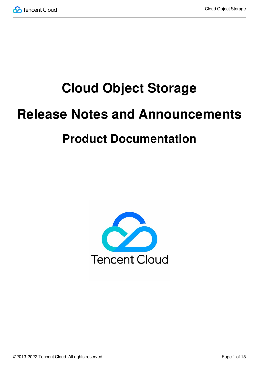

# **Cloud Object Storage Release Notes and Announcements Product Documentation**

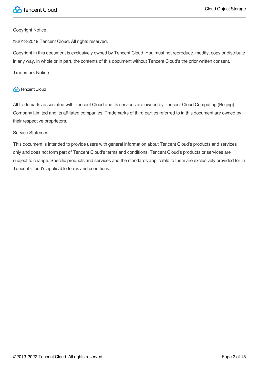

#### Copyright Notice

©2013-2019 Tencent Cloud. All rights reserved.

Copyright in this document is exclusively owned by Tencent Cloud. You must not reproduce, modify, copy or distribute in any way, in whole or in part, the contents of this document without Tencent Cloud's the prior written consent.

Trademark Notice

### **C** Tencent Cloud

All trademarks associated with Tencent Cloud and its services are owned by Tencent Cloud Computing (Beijing) Company Limited and its affiliated companies. Trademarks of third parties referred to in this document are owned by their respective proprietors.

#### Service Statement

This document is intended to provide users with general information about Tencent Cloud's products and services only and does not form part of Tencent Cloud's terms and conditions. Tencent Cloud's products or services are subject to change. Specific products and services and the standards applicable to them are exclusively provided for in Tencent Cloud's applicable terms and conditions.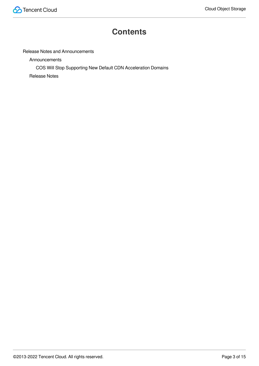### **Contents**

### Release Notes and [Announcements](#page-3-0)

**[Announcements](#page-3-1)** 

COS Will Stop Supporting New Default [CDN Acceleration](#page-3-2) Domains

[Release](#page-5-0) Notes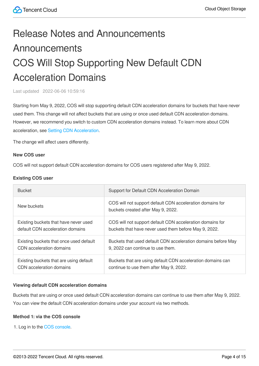# <span id="page-3-2"></span><span id="page-3-1"></span><span id="page-3-0"></span>Release Notes and Announcements **Announcements** COS Will Stop Supporting New Default CDN Acceleration Domains

Last updated 2022-06-06 10:59:16

Starting from May 9, 2022, COS will stop supporting default CDN acceleration domains for buckets that have never used them. This change will not affect buckets that are using or once used default CDN acceleration domains. However, we recommend you switch to custom CDN acceleration domains instead. To learn more about CDN acceleration, see Setting CDN [Acceleration.](https://intl.cloud.tencent.com/document/product/436/18670)

The change will affect users differently.

#### **New COS user**

COS will not support default CDN acceleration domains for COS users registered after May 9, 2022.

#### **Existing COS user**

| <b>Bucket</b>                           | Support for Default CDN Acceleration Domain                                                     |
|-----------------------------------------|-------------------------------------------------------------------------------------------------|
| New buckets                             | COS will not support default CDN acceleration domains for<br>buckets created after May 9, 2022. |
| Existing buckets that have never used   | COS will not support default CDN acceleration domains for                                       |
| default CDN acceleration domains        | buckets that have never used them before May 9, 2022.                                           |
| Existing buckets that once used default | Buckets that used default CDN acceleration domains before May                                   |
| CDN acceleration domains                | 9, 2022 can continue to use them.                                                               |
| Existing buckets that are using default | Buckets that are using default CDN acceleration domains can                                     |
| CDN acceleration domains                | continue to use them after May 9, 2022.                                                         |

#### **Viewing default CDN acceleration domains**

Buckets that are using or once used default CDN acceleration domains can continue to use them after May 9, 2022. You can view the default CDN acceleration domains under your account via two methods.

#### **Method 1: via the COS console**

1. Log in to the COS [console.](https://console.cloud.tencent.com/cos5)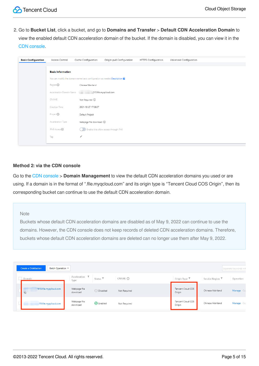2. Go to **Bucket List**, click a bucket, and go to **Domains and Transfer** > **Default CDN Acceleration Domain** to view the enabled default CDN acceleration domain of the bucket. If the domain is disabled, you can view it in the CDN [console](https://console.cloud.tencent.com/cdn/domains).

| <b>Basic Configuration</b> | Access Control           | Cache Configuration                                                           | Origin-pull Configuration              | HTTPS Configuration | Advanced Configuration |
|----------------------------|--------------------------|-------------------------------------------------------------------------------|----------------------------------------|---------------------|------------------------|
|                            |                          |                                                                               |                                        |                     |                        |
|                            | <b>Basic Information</b> |                                                                               |                                        |                     |                        |
|                            |                          | You can modify the domain name basic configuration as needed. Description [2] |                                        |                     |                        |
|                            | Region (i)               | Chinese Mainland                                                              |                                        |                     |                        |
|                            | Acceleration Domain Name | <b>STATE COLOR</b>                                                            | 919.file.mygcloud.com                  |                     |                        |
|                            | CNAME                    | Not Required (i)                                                              |                                        |                     |                        |
|                            | Creation Time            | 2021-10-27 17:08:07                                                           |                                        |                     |                        |
|                            | Project <b>①</b>         | Default Project                                                               |                                        |                     |                        |
|                            | Acceleration Type        | Webpage file download (i)                                                     |                                        |                     |                        |
|                            | $IPv6$ Access $(i)$      |                                                                               | Enable it to allow access through IPv6 |                     |                        |
|                            | Tag                      | $\mathcal{P}^{\ast}$                                                          |                                        |                     |                        |
|                            |                          |                                                                               |                                        |                     |                        |

#### **Method 2: via the CDN console**

Go to the CDN [console](https://console.cloud.tencent.com/cdn/domains) > **Domain Management** to view the default CDN acceleration domains you used or are using. If a domain is in the format of ".file.myqcloud.com" and its origin type is "Tencent Cloud COS Origin", then its corresponding bucket can continue to use the default CDN acceleration domain.

#### **Note**

Buckets whose default CDN acceleration domains are disabled as of May 9, 2022 can continue to use the domains. However, the CDN console does not keep records of deleted CDN acceleration domains. Therefore, buckets whose default CDN acceleration domains are deleted can no longer use them after May 9, 2022.

| <b>Create a Distribution</b><br>Batch Operation $\Psi$ |                          |                     |              |                             |                  | Separate keywords wit |
|--------------------------------------------------------|--------------------------|---------------------|--------------|-----------------------------|------------------|-----------------------|
| Domain                                                 | Acceleration T<br>Type   | Status <sup>T</sup> | CNAME (i)    | Origin Type T               | Service Region   | Operation             |
| ?919.file.mygcloud.com<br>石                            | Webpage file<br>download | ( Disabled          | Not Required | Tencent Cloud COS<br>Origin | Chinese Mainland | Manage Cop            |
| 19.file.mygcloud.com                                   | Webpage file<br>download | <b>⊙</b> Enabled    | Not Required | Tencent Cloud COS<br>Origin | Chinese Mainland | Manage Cop            |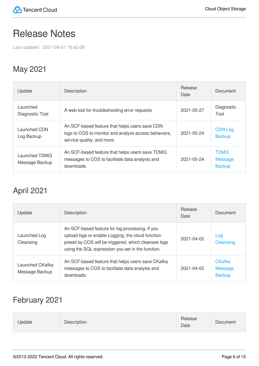# <span id="page-5-0"></span>Release Notes

Last updated 2021-09-01 16:42:08

# May 2021

| Update                          | <b>Description</b>                                                                                                                   | Release<br>Date | Document                                       |
|---------------------------------|--------------------------------------------------------------------------------------------------------------------------------------|-----------------|------------------------------------------------|
| Launched<br>Diagnostic Tool     | A web tool for troubleshooting error requests                                                                                        | 2021-05-27      | Diagnostic<br>Tool                             |
| Launched CDN<br>Log Backup      | An SCF-based feature that helps users save CDN<br>logs to COS to monitor and analyze access behaviors,<br>service quality, and more. | 2021-05-24      | <b>CDN Log</b><br><b>Backup</b>                |
| Launched TDMQ<br>Message Backup | An SCF-based feature that helps users save TDMQ<br>messages to COS to facilitate data analysis and<br>downloads.                     | 2021-05-24      | <b>TDMQ</b><br><b>Message</b><br><b>Backup</b> |

# April 2021

| Update                            | <b>Description</b>                                                                                                                                                                                                | Release<br>Date | Document                                         |
|-----------------------------------|-------------------------------------------------------------------------------------------------------------------------------------------------------------------------------------------------------------------|-----------------|--------------------------------------------------|
| Launched Log<br>Cleansing         | An SCF-based feature for log processing. If you<br>upload logs or enable Logging, the cloud function<br>preset by COS will be triggered, which cleanses logs<br>using the SQL expression you set in the function. | 2021-04-02      | Log<br>Cleansing                                 |
| Launched CKafka<br>Message Backup | An SCF-based feature that helps users save CKafka<br>messages to COS to facilitate data analysis and<br>downloads.                                                                                                | 2021-04-02      | <b>CKafka</b><br><b>Message</b><br><b>Backup</b> |

# February 2021

| Update | Description | Release<br>Date | <b>Document</b> |
|--------|-------------|-----------------|-----------------|
|--------|-------------|-----------------|-----------------|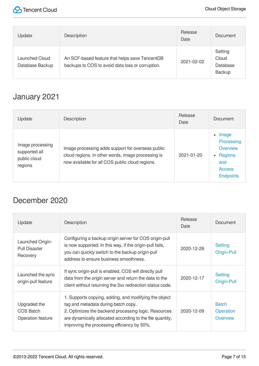

| Update                            | Description                                                                                        | Release<br>Date | <b>Document</b>                               |
|-----------------------------------|----------------------------------------------------------------------------------------------------|-----------------|-----------------------------------------------|
| Launched Cloud<br>Database Backup | An SCF-based feature that helps save TencentDB<br>backups to COS to avoid data loss or corruption. | 2021-02-02      | Setting<br>Cloud<br>Database<br><b>Backup</b> |

# January 2021

| Update                                                       | Description                                                                                                                                                | Release<br>Date  | Document                                                                                         |
|--------------------------------------------------------------|------------------------------------------------------------------------------------------------------------------------------------------------------------|------------------|--------------------------------------------------------------------------------------------------|
| Image processing<br>supported all<br>public cloud<br>regions | Image processing adds support for overseas public<br>cloud regions. In other words, image processing is<br>now available for all COS public cloud regions. | $2021 - 01 - 20$ | $\cdot$ Image<br>Processing<br>Overview<br>• Regions<br>and<br><b>Access</b><br><b>Endpoints</b> |

### December 2020

| Update                                               | Description                                                                                                                                                                                                                                                      | Release<br>Date | Document                                     |
|------------------------------------------------------|------------------------------------------------------------------------------------------------------------------------------------------------------------------------------------------------------------------------------------------------------------------|-----------------|----------------------------------------------|
| Launched Origin-<br><b>Pull Disaster</b><br>Recovery | Configuring a backup origin server for COS origin-pull<br>is now supported. In this way, if the origin-pull fails,<br>you can quickly switch to the backup origin-pull<br>address to ensure business smoothness.                                                 | 2020-12-28      | Setting<br>Origin-Pull                       |
| Launched the sync<br>origin-pull feature             | If sync origin-pull is enabled, COS will directly pull<br>data from the origin server and return the data to the<br>client without returning the 3xx redirection status code.                                                                                    | 2020-12-17      | Setting<br>Origin-Pull                       |
| Upgraded the<br>COS Batch<br>Operation feature       | 1. Supports copying, adding, and modifying the object<br>tag and metadata during batch copy.<br>2. Optimizes the backend processing logic. Resources<br>are dynamically allocated according to the file quantity,<br>improving the processing efficiency by 50%. | 2020-12-09      | <b>Batch</b><br>Operation<br><b>Overview</b> |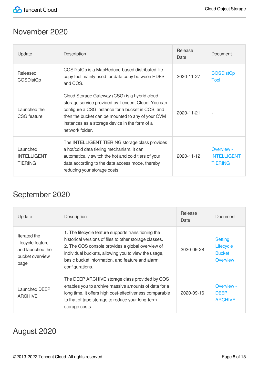

### November 2020

| Update                                           | Description                                                                                                                                                                                                                                                                        | Release<br>Date | Document                                                  |
|--------------------------------------------------|------------------------------------------------------------------------------------------------------------------------------------------------------------------------------------------------------------------------------------------------------------------------------------|-----------------|-----------------------------------------------------------|
| Released<br><b>COSDistCp</b>                     | COSDistCp is a MapReduce-based distributed file<br>copy tool mainly used for data copy between HDFS<br>and COS.                                                                                                                                                                    | 2020-11-27      | <b>COSDistCp</b><br>Tool                                  |
| Launched the<br><b>CSG</b> feature               | Cloud Storage Gateway (CSG) is a hybrid cloud<br>storage service provided by Tencent Cloud. You can<br>configure a CSG instance for a bucket in COS, and<br>then the bucket can be mounted to any of your CVM<br>instances as a storage device in the form of a<br>network folder. | 2020-11-21      |                                                           |
| Launched<br><b>INTELLIGENT</b><br><b>TIERING</b> | The INTELLIGENT TIERING storage class provides<br>a hot/cold data tiering mechanism. It can<br>automatically switch the hot and cold tiers of your<br>data according to the data access mode, thereby<br>reducing your storage costs.                                              | 2020-11-12      | <b>Overview -</b><br><b>INTELLIGENT</b><br><b>TIERING</b> |

# September 2020

| Update                                                                           | Description                                                                                                                                                                                                                                                                                    | Release<br>Date | Document                                                 |
|----------------------------------------------------------------------------------|------------------------------------------------------------------------------------------------------------------------------------------------------------------------------------------------------------------------------------------------------------------------------------------------|-----------------|----------------------------------------------------------|
| Iterated the<br>lifecycle feature<br>and launched the<br>bucket overview<br>page | 1. The lifecycle feature supports transitioning the<br>historical versions of files to other storage classes.<br>2. The COS console provides a global overview of<br>individual buckets, allowing you to view the usage,<br>basic bucket information, and feature and alarm<br>configurations. | 2020-09-28      | <b>Setting</b><br>Lifecycle<br><b>Bucket</b><br>Overview |
| Launched DEEP<br><b>ARCHIVE</b>                                                  | The DEEP ARCHIVE storage class provided by COS<br>enables you to archive massive amounts of data for a<br>long time. It offers high cost-effectiveness comparable<br>to that of tape storage to reduce your long-term<br>storage costs.                                                        | 2020-09-16      | Overview -<br><b>DEEP</b><br><b>ARCHIVE</b>              |

# August 2020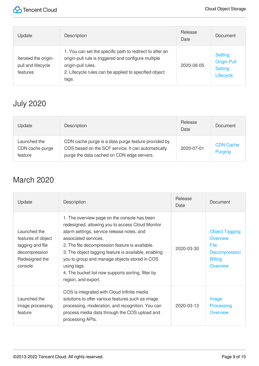

| Update                                                 | <b>Description</b>                                                                                                                                                                                       | Release<br>Date | Document                                                     |
|--------------------------------------------------------|----------------------------------------------------------------------------------------------------------------------------------------------------------------------------------------------------------|-----------------|--------------------------------------------------------------|
| Iterated the origin-<br>pull and lifecycle<br>features | 1. You can set the specific path to redirect to after an<br>origin-pull rule is triggered and configure multiple<br>origin-pull rules.<br>2. Lifecycle rules can be applied to specified object<br>tags. | 2020-08-05      | Setting<br><b>Origin-Pull</b><br><b>Setting</b><br>Lifecycle |

# July 2020

| Update                                     | Description                                                                                                                                             | Release<br>Date | Document                           |
|--------------------------------------------|---------------------------------------------------------------------------------------------------------------------------------------------------------|-----------------|------------------------------------|
| Launched the<br>CDN cache purge<br>feature | CDN cache purge is a data purge feature provided by<br>COS based on the SCF service. It can automatically<br>purge the data cached on CDN edge servers. | 2020-07-01      | <b>CDN Cache</b><br><b>Purging</b> |

### March 2020

| Update                                                                                               | Description                                                                                                                                                                                                                                                                                                                                                                                                                    | Release<br>Date | Document                                                                                        |
|------------------------------------------------------------------------------------------------------|--------------------------------------------------------------------------------------------------------------------------------------------------------------------------------------------------------------------------------------------------------------------------------------------------------------------------------------------------------------------------------------------------------------------------------|-----------------|-------------------------------------------------------------------------------------------------|
| Launched the<br>features of object<br>tagging and file<br>decompression<br>Redesigned the<br>console | 1. The overview page on the console has been<br>redesigned, allowing you to access Cloud Monitor<br>alarm settings, service release notes, and<br>associated services.<br>2. The file decompression feature is available.<br>3. The object tagging feature is available, enabling<br>you to group and manage objects stored in COS<br>using tags.<br>4. The bucket list now supports sorting, filter by<br>region, and export. | 2020-03-30      | <b>Object Tagging</b><br>Overview<br>File<br>Decompression<br><b>Billing</b><br><b>Overview</b> |
| Launched the<br>image processing<br>feature                                                          | COS is integrated with Cloud Infinite media<br>solutions to offer various features such as image<br>processing, moderation, and recognition. You can<br>process media data through the COS upload and<br>processing APIs.                                                                                                                                                                                                      | 2020-03-13      | Image<br>Processing<br><b>Overview</b>                                                          |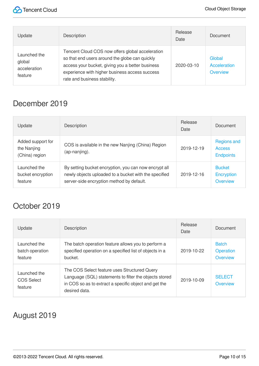

| Update                                            | Description                                                                                                                                                                                                                              | Release<br>Date | Document                                  |
|---------------------------------------------------|------------------------------------------------------------------------------------------------------------------------------------------------------------------------------------------------------------------------------------------|-----------------|-------------------------------------------|
| Launched the<br>global<br>acceleration<br>feature | Tencent Cloud COS now offers global acceleration<br>so that end users around the globe can quickly<br>access your bucket, giving you a better business<br>experience with higher business access success<br>rate and business stability. | 2020-03-10      | Global<br>Acceleration<br><b>Overview</b> |

### December 2019

| Update                                             | <b>Description</b>                                                                                                                                          | Release<br>Date | Document                                                |
|----------------------------------------------------|-------------------------------------------------------------------------------------------------------------------------------------------------------------|-----------------|---------------------------------------------------------|
| Added support for<br>the Nanjing<br>(China) region | COS is available in the new Nanjing (China) Region<br>(ap-nanjing).                                                                                         | 2019-12-19      | <b>Regions and</b><br><b>Access</b><br><b>Endpoints</b> |
| Launched the<br>bucket encryption<br>feature       | By setting bucket encryption, you can now encrypt all<br>newly objects uploaded to a bucket with the specified<br>server-side encryption method by default. | 2019-12-16      | <b>Bucket</b><br><b>Encryption</b><br>Overview          |

# October 2019

| Update                                       | Description                                                                                                                                                                      | Release<br>Date | Document                                     |
|----------------------------------------------|----------------------------------------------------------------------------------------------------------------------------------------------------------------------------------|-----------------|----------------------------------------------|
| Launched the<br>batch operation<br>feature   | The batch operation feature allows you to perform a<br>specified operation on a specified list of objects in a<br>bucket.                                                        | 2019-10-22      | <b>Batch</b><br><b>Operation</b><br>Overview |
| Launched the<br><b>COS Select</b><br>feature | The COS Select feature uses Structured Query<br>Language (SQL) statements to filter the objects stored<br>in COS so as to extract a specific object and get the<br>desired data. | 2019-10-09      | <b>SELECT</b><br>Overview                    |

# August 2019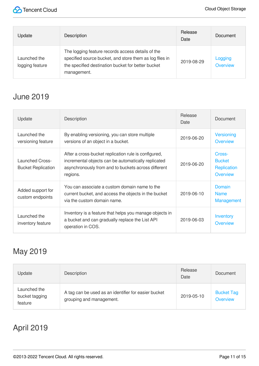

| Update                          | <b>Description</b>                                                                                                                                                                | Release<br>Date | Document                   |
|---------------------------------|-----------------------------------------------------------------------------------------------------------------------------------------------------------------------------------|-----------------|----------------------------|
| Launched the<br>logging feature | The logging feature records access details of the<br>specified source bucket, and store them as log files in<br>the specified destination bucket for better bucket<br>management. | 2019-08-29      | Logging<br><b>Overview</b> |

# June 2019

| Update                                              | Description                                                                                                                                                                    | Release<br>Date | Document                                           |
|-----------------------------------------------------|--------------------------------------------------------------------------------------------------------------------------------------------------------------------------------|-----------------|----------------------------------------------------|
| Launched the<br>versioning feature                  | By enabling versioning, you can store multiple<br>versions of an object in a bucket.                                                                                           | 2019-06-20      | Versioning<br>Overview                             |
| <b>Launched Cross-</b><br><b>Bucket Replication</b> | After a cross-bucket replication rule is configured,<br>incremental objects can be automatically replicated<br>asynchronously from and to buckets across different<br>regions. | 2019-06-20      | Cross-<br><b>Bucket</b><br>Replication<br>Overview |
| Added support for<br>custom endpoints               | You can associate a custom domain name to the<br>current bucket, and access the objects in the bucket<br>via the custom domain name.                                           | 2019-06-10      | Domain<br><b>Name</b><br>Management                |
| Launched the<br>inventory feature                   | Inventory is a feature that helps you manage objects in<br>a bucket and can gradually replace the List API<br>operation in COS.                                                | 2019-06-03      | Inventory<br>Overview                              |

# May 2019

| Update                                    | Description                                                                      | Release<br>Date | Document                             |
|-------------------------------------------|----------------------------------------------------------------------------------|-----------------|--------------------------------------|
| Launched the<br>bucket tagging<br>feature | A tag can be used as an identifier for easier bucket<br>grouping and management. | 2019-05-10      | <b>Bucket Tag</b><br><b>Overview</b> |

# April 2019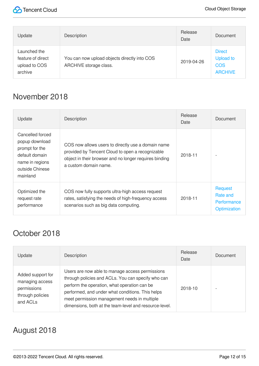

| Update                                                        | Description                                                            | Release<br>Date | <b>Document</b>                                                   |
|---------------------------------------------------------------|------------------------------------------------------------------------|-----------------|-------------------------------------------------------------------|
| Launched the<br>feature of direct<br>upload to COS<br>archive | You can now upload objects directly into COS<br>ARCHIVE storage class. | 2019-04-26      | <b>Direct</b><br><b>Upload to</b><br><b>COS</b><br><b>ARCHIVE</b> |

### November 2018

| Update                                                                                                                   | Description                                                                                                                                                                               | Release<br>Date | Document                                           |
|--------------------------------------------------------------------------------------------------------------------------|-------------------------------------------------------------------------------------------------------------------------------------------------------------------------------------------|-----------------|----------------------------------------------------|
| Cancelled forced<br>popup download<br>prompt for the<br>default domain<br>name in regions<br>outside Chinese<br>mainland | COS now allows users to directly use a domain name<br>provided by Tencent Cloud to open a recognizable<br>object in their browser and no longer requires binding<br>a custom domain name. | 2018-11         |                                                    |
| Optimized the<br>request rate<br>performance                                                                             | COS now fully supports ultra-high access request<br>rates, satisfying the needs of high-frequency access<br>scenarios such as big data computing.                                         | 2018-11         | Request<br>Rate and<br>Performance<br>Optimization |

### October 2018

| Update                                                                                          | Description                                                                                                                                                                                                                                                                                                         | Release<br>Date | Document |
|-------------------------------------------------------------------------------------------------|---------------------------------------------------------------------------------------------------------------------------------------------------------------------------------------------------------------------------------------------------------------------------------------------------------------------|-----------------|----------|
| Added support for<br>managing access<br>permissions<br>through policies<br>and ACL <sub>s</sub> | Users are now able to manage access permissions<br>through policies and ACLs. You can specify who can<br>perform the operation, what operation can be<br>performed, and under what conditions. This helps<br>meet permission management needs in multiple<br>dimensions, both at the team-level and resource-level. | 2018-10         |          |

# August 2018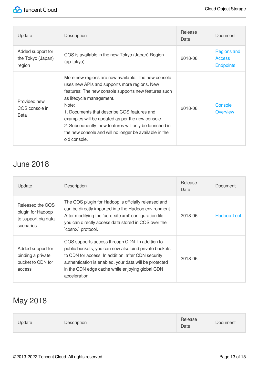| Update                                           | Description                                                                                                                                                                                                                                                                                                                                                                                                                             | Release<br>Date | Document                                                |
|--------------------------------------------------|-----------------------------------------------------------------------------------------------------------------------------------------------------------------------------------------------------------------------------------------------------------------------------------------------------------------------------------------------------------------------------------------------------------------------------------------|-----------------|---------------------------------------------------------|
| Added support for<br>the Tokyo (Japan)<br>region | COS is available in the new Tokyo (Japan) Region<br>(ap-tokyo).                                                                                                                                                                                                                                                                                                                                                                         | 2018-08         | <b>Regions and</b><br><b>Access</b><br><b>Endpoints</b> |
| Provided new<br>COS console in<br><b>Beta</b>    | More new regions are now available. The new console<br>uses new APIs and supports more regions. New<br>features: The new console supports new features such<br>as lifecycle management.<br>Note:<br>1. Documents that describe COS features and<br>examples will be updated as per the new console.<br>2. Subsequently, new features will only be launched in<br>the new console and will no longer be available in the<br>old console. | 2018-08         | Console<br>Overview                                     |

# June 2018

| Update                                                                    | Description                                                                                                                                                                                                                                                                                  | <b>Release</b><br>Date | Document           |
|---------------------------------------------------------------------------|----------------------------------------------------------------------------------------------------------------------------------------------------------------------------------------------------------------------------------------------------------------------------------------------|------------------------|--------------------|
| Released the COS<br>plugin for Hadoop<br>to support big data<br>scenarios | The COS plugin for Hadoop is officially released and<br>can be directly imported into the Hadoop environment.<br>After modifying the `core-site.xml` configuration file,<br>you can directly access data stored in COS over the<br>`cosn://` protocol.                                       | 2018-06                | <b>Hadoop Tool</b> |
| Added support for<br>binding a private<br>bucket to CDN for<br>access     | COS supports access through CDN. In addition to<br>public buckets, you can now also bind private buckets<br>to CDN for access. In addition, after CDN security<br>authentication is enabled, your data will be protected<br>in the CDN edge cache while enjoying global CDN<br>acceleration. | 2018-06                |                    |

# May 2018

| Release<br>Document<br>Description<br>Jpdate<br>Date |  |
|------------------------------------------------------|--|
|------------------------------------------------------|--|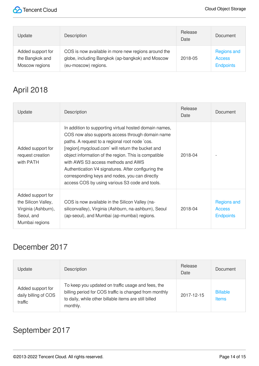

| Update            | Description                                         | Release<br>Date | Document           |
|-------------------|-----------------------------------------------------|-----------------|--------------------|
| Added support for | COS is now available in more new regions around the | 2018-05         | <b>Regions and</b> |
| the Bangkok and   | globe, including Bangkok (ap-bangkok) and Moscow    |                 | <b>Access</b>      |
| Moscow regions    | (eu-moscow) regions.                                |                 | <b>Endpoints</b>   |

# April 2018

| Update                                                                                          | Description                                                                                                                                                                                                                                                                                                                                                                                                                                                                | Release<br>Date | Document                                                |
|-------------------------------------------------------------------------------------------------|----------------------------------------------------------------------------------------------------------------------------------------------------------------------------------------------------------------------------------------------------------------------------------------------------------------------------------------------------------------------------------------------------------------------------------------------------------------------------|-----------------|---------------------------------------------------------|
| Added support for<br>request creation<br>with PATH                                              | In addition to supporting virtual hosted domain names,<br>COS now also supports access through domain name<br>paths. A request to a regional root node `cos.<br>[region].myqcloud.com` will return the bucket and<br>object information of the region. This is compatible<br>with AWS S3 access methods and AWS<br>Authentication V4 signatures. After configuring the<br>corresponding keys and nodes, you can directly<br>access COS by using various S3 code and tools. | 2018-04         |                                                         |
| Added support for<br>the Silicon Valley,<br>Virginia (Ashburn),<br>Seoul, and<br>Mumbai regions | COS is now available in the Silicon Valley (na-<br>siliconvalley), Virginia (Ashburn, na-ashburn), Seoul<br>(ap-seoul), and Mumbai (ap-mumbai) regions.                                                                                                                                                                                                                                                                                                                    | 2018-04         | <b>Regions and</b><br><b>Access</b><br><b>Endpoints</b> |

# December 2017

| Update                                               | Description                                                                                                                                                                       | Release<br>Date | Document                        |
|------------------------------------------------------|-----------------------------------------------------------------------------------------------------------------------------------------------------------------------------------|-----------------|---------------------------------|
| Added support for<br>daily billing of COS<br>traffic | To keep you updated on traffic usage and fees, the<br>billing period for COS traffic is changed from monthly<br>to daily, while other billable items are still billed<br>monthly. | 2017-12-15      | <b>Billable</b><br><b>Items</b> |

# September 2017